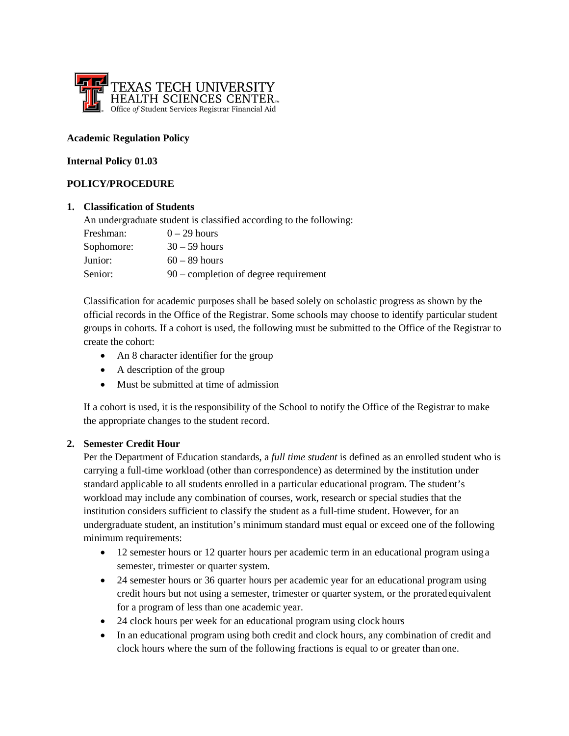

#### **Academic Regulation Policy**

#### **Internal Policy 01.03**

## **POLICY/PROCEDURE**

#### **1. Classification of Students**

An undergraduate student is classified according to the following:

| Freshman:  | $0-29$ hours                            |
|------------|-----------------------------------------|
| Sophomore: | $30 - 59$ hours                         |
| Junior:    | $60 - 89$ hours                         |
| Senior:    | $90$ – completion of degree requirement |

Classification for academic purposes shall be based solely on scholastic progress as shown by the official records in the Office of the Registrar. Some schools may choose to identify particular student groups in cohorts. If a cohort is used, the following must be submitted to the Office of the Registrar to create the cohort:

- An 8 character identifier for the group
- A description of the group
- Must be submitted at time of admission

If a cohort is used, it is the responsibility of the School to notify the Office of the Registrar to make the appropriate changes to the student record.

## **2. Semester Credit Hour**

Per the Department of Education standards, a *full time student* is defined as an enrolled student who is carrying a full-time workload (other than correspondence) as determined by the institution under standard applicable to all students enrolled in a particular educational program. The student's workload may include any combination of courses, work, research or special studies that the institution considers sufficient to classify the student as a full-time student. However, for an undergraduate student, an institution's minimum standard must equal or exceed one of the following minimum requirements:

- 12 semester hours or 12 quarter hours per academic term in an educational program using a semester, trimester or quarter system.
- 24 semester hours or 36 quarter hours per academic year for an educational program using credit hours but not using a semester, trimester or quarter system, or the proratedequivalent for a program of less than one academic year.
- 24 clock hours per week for an educational program using clock hours
- In an educational program using both credit and clock hours, any combination of credit and clock hours where the sum of the following fractions is equal to or greater than one.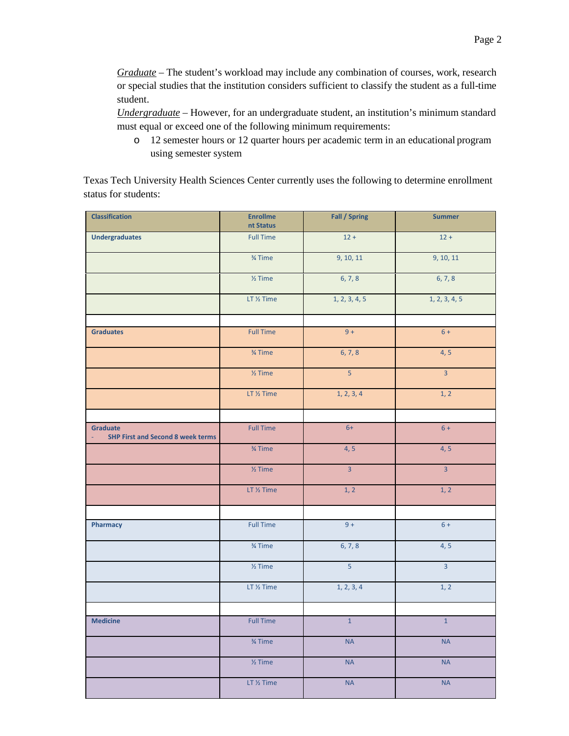*Graduate* – The student's workload may include any combination of courses, work, research or special studies that the institution considers sufficient to classify the student as a full-time student.

*Undergraduate* – However, for an undergraduate student, an institution's minimum standard must equal or exceed one of the following minimum requirements:

o 12 semester hours or 12 quarter hours per academic term in an educational program using semester system

Texas Tech University Health Sciences Center currently uses the following to determine enrollment status for students:

| <b>Classification</b>                                             | <b>Enrollme</b>    | <b>Fall / Spring</b> | <b>Summer</b>  |
|-------------------------------------------------------------------|--------------------|----------------------|----------------|
|                                                                   | nt Status          |                      |                |
| <b>Undergraduates</b>                                             | <b>Full Time</b>   | $12 +$               | $12 +$         |
|                                                                   | 3⁄4 Time           | 9, 10, 11            | 9, 10, 11      |
|                                                                   | $\frac{1}{2}$ Time | 6, 7, 8              | 6, 7, 8        |
|                                                                   | LT 1/2 Time        | 1, 2, 3, 4, 5        | 1, 2, 3, 4, 5  |
|                                                                   |                    |                      |                |
| <b>Graduates</b>                                                  | <b>Full Time</b>   | $9+$                 | $6 +$          |
|                                                                   | 3⁄4 Time           | 6, 7, 8              | 4, 5           |
|                                                                   | $\frac{1}{2}$ Time | $\overline{5}$       | $\overline{3}$ |
|                                                                   | LT 1/2 Time        | 1, 2, 3, 4           | 1, 2           |
|                                                                   |                    |                      |                |
| <b>Graduate</b><br><b>SHP First and Second 8 week terms</b><br>÷, | <b>Full Time</b>   | $6+$                 | $6 +$          |
|                                                                   | 3⁄4 Time           | 4, 5                 | 4, 5           |
|                                                                   | $\frac{1}{2}$ Time | $\overline{3}$       | $\overline{3}$ |
|                                                                   | LT 1/2 Time        | 1, 2                 | 1, 2           |
|                                                                   |                    |                      |                |
| Pharmacy                                                          | <b>Full Time</b>   | $9+$                 | $6 +$          |
|                                                                   | 3⁄4 Time           | 6, 7, 8              | 4, 5           |
|                                                                   | $\frac{1}{2}$ Time | $\overline{5}$       | $\overline{3}$ |
|                                                                   | LT 1/2 Time        | 1, 2, 3, 4           | 1, 2           |
|                                                                   |                    |                      |                |
| <b>Medicine</b>                                                   | <b>Full Time</b>   | $\mathbf 1$          | $\,1\,$        |
|                                                                   | $\frac{3}{4}$ Time | <b>NA</b>            | <b>NA</b>      |
|                                                                   | $\frac{1}{2}$ Time | <b>NA</b>            | <b>NA</b>      |
|                                                                   | LT 1/2 Time        | <b>NA</b>            | <b>NA</b>      |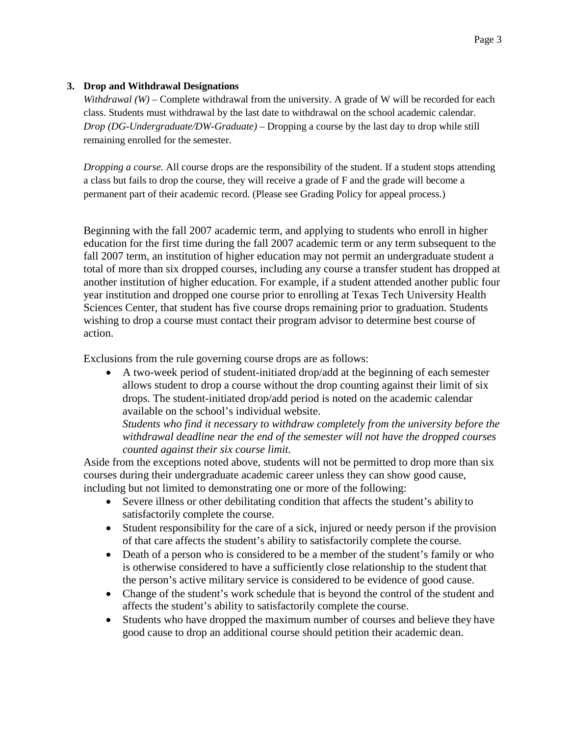## **3. Drop and Withdrawal Designations**

*Withdrawal (W) –* Complete withdrawal from the university. A grade of W will be recorded for each class. Students must withdrawal by the last date to withdrawal on the school academic calendar. *Drop (DG-Undergraduate/DW-Graduate) –* Dropping a course by the last day to drop while still remaining enrolled for the semester.

*Dropping a course.* All course drops are the responsibility of the student. If a student stops attending a class but fails to drop the course, they will receive a grade of F and the grade will become a permanent part of their academic record. (Please see Grading Policy for appeal process.)

Beginning with the fall 2007 academic term, and applying to students who enroll in higher education for the first time during the fall 2007 academic term or any term subsequent to the fall 2007 term, an institution of higher education may not permit an undergraduate student a total of more than six dropped courses, including any course a transfer student has dropped at another institution of higher education. For example, if a student attended another public four year institution and dropped one course prior to enrolling at Texas Tech University Health Sciences Center, that student has five course drops remaining prior to graduation. Students wishing to drop a course must contact their program advisor to determine best course of action.

Exclusions from the rule governing course drops are as follows:

• A two-week period of student-initiated drop/add at the beginning of each semester allows student to drop a course without the drop counting against their limit of six drops. The student-initiated drop/add period is noted on the academic calendar available on the school's individual website.

*Students who find it necessary to withdraw completely from the university before the withdrawal deadline near the end of the semester will not have the dropped courses counted against their six course limit.*

Aside from the exceptions noted above, students will not be permitted to drop more than six courses during their undergraduate academic career unless they can show good cause, including but not limited to demonstrating one or more of the following:

- Severe illness or other debilitating condition that affects the student's ability to satisfactorily complete the course.
- Student responsibility for the care of a sick, injured or needy person if the provision of that care affects the student's ability to satisfactorily complete the course.
- Death of a person who is considered to be a member of the student's family or who is otherwise considered to have a sufficiently close relationship to the student that the person's active military service is considered to be evidence of good cause.
- Change of the student's work schedule that is beyond the control of the student and affects the student's ability to satisfactorily complete the course.
- Students who have dropped the maximum number of courses and believe they have good cause to drop an additional course should petition their academic dean.